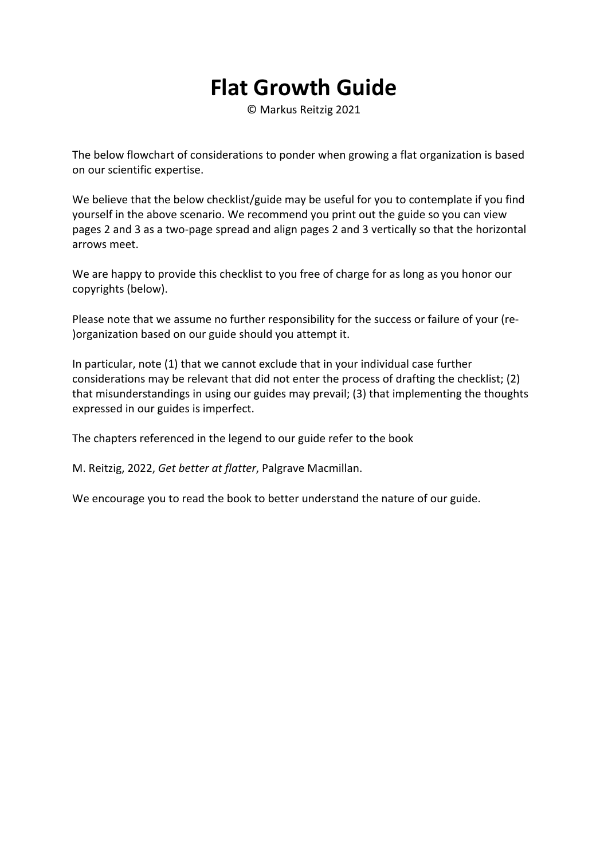## **Flat Growth Guide**

© Markus Reitzig 2021

The below flowchart of considerations to ponder when growing a flat organization is based on our scientific expertise.

We believe that the below checklist/guide may be useful for you to contemplate if you find yourself in the above scenario. We recommend you print out the guide so you can view pages 2 and 3 as a two‐page spread and align pages 2 and 3 vertically so that the horizontal arrows meet.

We are happy to provide this checklist to you free of charge for as long as you honor our copyrights (below).

Please note that we assume no further responsibility for the success or failure of your (re‐ )organization based on our guide should you attempt it.

In particular, note (1) that we cannot exclude that in your individual case further considerations may be relevant that did not enter the process of drafting the checklist; (2) that misunderstandings in using our guides may prevail; (3) that implementing the thoughts expressed in our guides is imperfect.

The chapters referenced in the legend to our guide refer to the book

M. Reitzig, 2022, *Get better at flatter*, Palgrave Macmillan.

We encourage you to read the book to better understand the nature of our guide.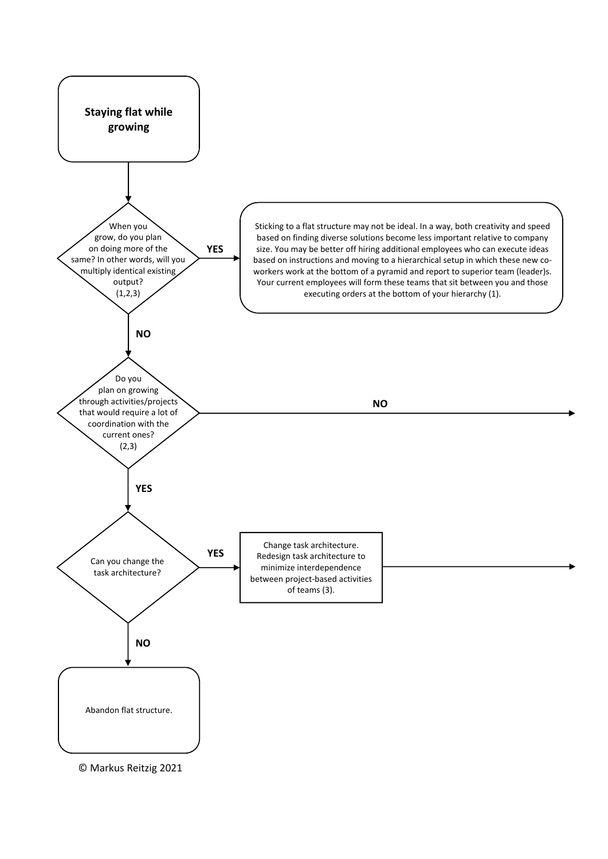